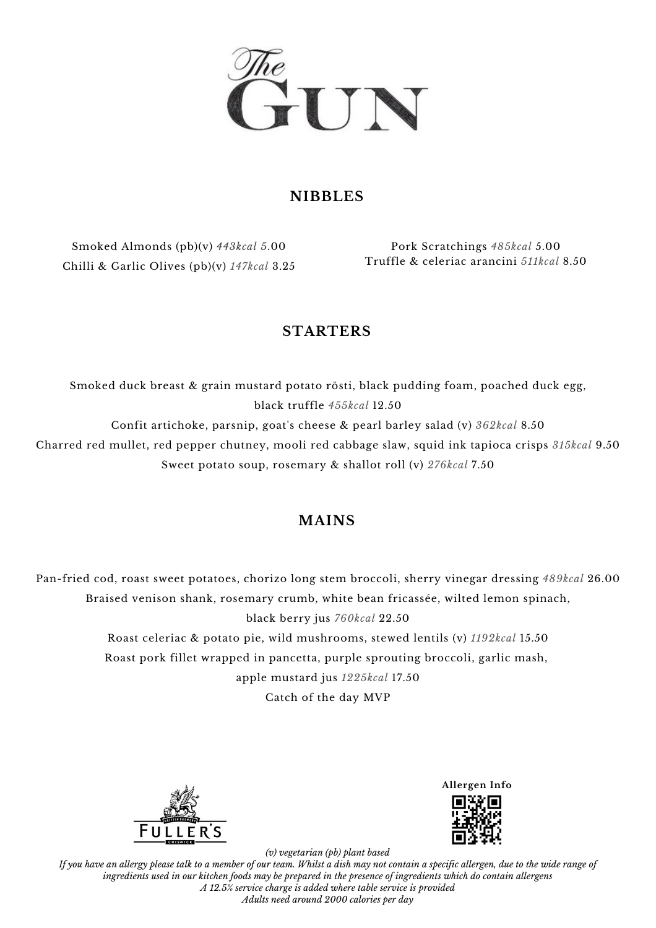

### **NIBBLES**

Smoked Almonds (pb)(v) *443kcal 5*.00 Chilli & Garlic Olives (pb)(v) *147kcal* 3.25

Pork Scratchings *485kcal* 5.00 Truffle & celeriac arancini *511kcal* 8.50

## **STARTERS**

Smoked duck breast & grain mustard potato rösti, black pudding foam, poached duck egg, black truffle *455kcal* 12.50 Confit artichoke, parsnip, goat's cheese & pearl barley salad (v) *362kcal* 8.50

Charred red mullet, red pepper chutney, mooli red cabbage slaw, squid ink tapioca crisps *315kcal* 9.50 Sweet potato soup, rosemary & shallot roll (v) *276kcal* 7.50

# **MAINS**

Pan-fried cod, roast sweet potatoes, chorizo long stem broccoli, sherry vinegar dressing *489kcal* 26.00 Braised venison shank, rosemary crumb, white bean fricassée, wilted lemon spinach, black berry jus *760kcal* 22.50 Roast celeriac & potato pie, wild mushrooms, stewed lentils (v) *1192kcal* 15.50 Roast pork fillet wrapped in pancetta, purple sprouting broccoli, garlic mash, apple mustard jus *1225kcal* 17.50

Catch of the day MVP



**Allergen Info**



*(v) vegetarian (pb) plant based* If you have an allergy please talk to a member of our team. Whilst a dish may not contain a specific allergen, due to the wide range of ingredients used in our kitchen foods may be prepared in the presence of ingredients which do contain allergens *A 12.5% service charge is added where table service is provided Adults need around 2000 calories per day*